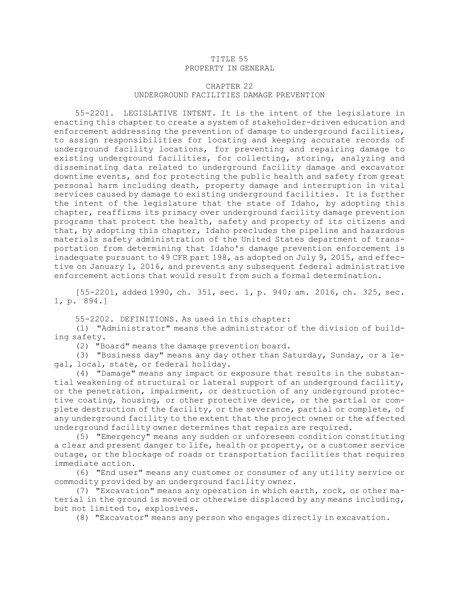## TITLE 55 PROPERTY IN GENERAL

## CHAPTER 22 UNDERGROUND FACILITIES DAMAGE PREVENTION

55-2201. LEGISLATIVE INTENT. It is the intent of the legislature in enacting this chapter to create <sup>a</sup> system of stakeholder-driven education and enforcement addressing the prevention of damage to underground facilities, to assign responsibilities for locating and keeping accurate records of underground facility locations, for preventing and repairing damage to existing underground facilities, for collecting, storing, analyzing and disseminating data related to underground facility damage and excavator downtime events, and for protecting the public health and safety from great personal harm including death, property damage and interruption in vital services caused by damage to existing underground facilities. It is further the intent of the legislature that the state of Idaho, by adopting this chapter, reaffirms its primacy over underground facility damage prevention programs that protect the health, safety and property of its citizens and that, by adopting this chapter, Idaho precludes the pipeline and hazardous materials safety administration of the United States department of transportation from determining that Idaho's damage prevention enforcement is inadequate pursuant to 49 CFR part 198, as adopted on July 9, 2015, and effective on January 1, 2016, and prevents any subsequent federal administrative enforcement actions that would result from such <sup>a</sup> formal determination.

[55-2201, added 1990, ch. 351, sec. 1, p. 940; am. 2016, ch. 325, sec. 1, p. 894.]

55-2202. DEFINITIONS. As used in this chapter:

(1) "Administrator" means the administrator of the division of building safety.

(2) "Board" means the damage prevention board.

(3) "Business day" means any day other than Saturday, Sunday, or <sup>a</sup> legal, local, state, or federal holiday.

(4) "Damage" means any impact or exposure that results in the substantial weakening of structural or lateral support of an underground facility, or the penetration, impairment, or destruction of any underground protective coating, housing, or other protective device, or the partial or complete destruction of the facility, or the severance, partial or complete, of any underground facility to the extent that the project owner or the affected underground facility owner determines that repairs are required.

(5) "Emergency" means any sudden or unforeseen condition constituting <sup>a</sup> clear and present danger to life, health or property, or <sup>a</sup> customer service outage, or the blockage of roads or transportation facilities that requires immediate action.

(6) "End user" means any customer or consumer of any utility service or commodity provided by an underground facility owner.

(7) "Excavation" means any operation in which earth, rock, or other material in the ground is moved or otherwise displaced by any means including, but not limited to, explosives.

(8) "Excavator" means any person who engages directly in excavation.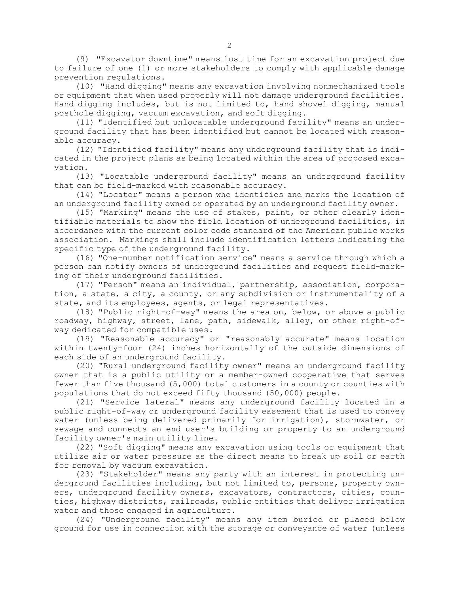(9) "Excavator downtime" means lost time for an excavation project due to failure of one (1) or more stakeholders to comply with applicable damage prevention regulations.

(10) "Hand digging" means any excavation involving nonmechanized tools or equipment that when used properly will not damage underground facilities. Hand digging includes, but is not limited to, hand shovel digging, manual posthole digging, vacuum excavation, and soft digging.

(11) "Identified but unlocatable underground facility" means an underground facility that has been identified but cannot be located with reasonable accuracy.

(12) "Identified facility" means any underground facility that is indicated in the project plans as being located within the area of proposed excavation.

(13) "Locatable underground facility" means an underground facility that can be field-marked with reasonable accuracy.

(14) "Locator" means <sup>a</sup> person who identifies and marks the location of an underground facility owned or operated by an underground facility owner.

(15) "Marking" means the use of stakes, paint, or other clearly identifiable materials to show the field location of underground facilities, in accordance with the current color code standard of the American public works association. Markings shall include identification letters indicating the specific type of the underground facility.

(16) "One-number notification service" means <sup>a</sup> service through which <sup>a</sup> person can notify owners of underground facilities and request field-marking of their underground facilities.

(17) "Person" means an individual, partnership, association, corporation, <sup>a</sup> state, <sup>a</sup> city, <sup>a</sup> county, or any subdivision or instrumentality of <sup>a</sup> state, and its employees, agents, or legal representatives.

(18) "Public right-of-way" means the area on, below, or above <sup>a</sup> public roadway, highway, street, lane, path, sidewalk, alley, or other right-ofway dedicated for compatible uses.

(19) "Reasonable accuracy" or "reasonably accurate" means location within twenty-four (24) inches horizontally of the outside dimensions of each side of an underground facility.

(20) "Rural underground facility owner" means an underground facility owner that is <sup>a</sup> public utility or <sup>a</sup> member-owned cooperative that serves fewer than five thousand (5,000) total customers in <sup>a</sup> county or counties with populations that do not exceed fifty thousand (50,000) people.

(21) "Service lateral" means any underground facility located in <sup>a</sup> public right-of-way or underground facility easement that is used to convey water (unless being delivered primarily for irrigation), stormwater, or sewage and connects an end user's building or property to an underground facility owner's main utility line.

(22) "Soft digging" means any excavation using tools or equipment that utilize air or water pressure as the direct means to break up soil or earth for removal by vacuum excavation.

(23) "Stakeholder" means any party with an interest in protecting underground facilities including, but not limited to, persons, property owners, underground facility owners, excavators, contractors, cities, counties, highway districts, railroads, public entities that deliver irrigation water and those engaged in agriculture.

(24) "Underground facility" means any item buried or placed below ground for use in connection with the storage or conveyance of water (unless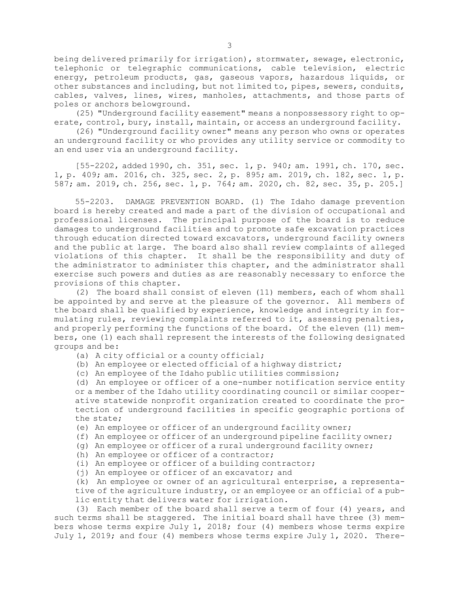being delivered primarily for irrigation), stormwater, sewage, electronic, telephonic or telegraphic communications, cable television, electric energy, petroleum products, gas, gaseous vapors, hazardous liquids, or other substances and including, but not limited to, pipes, sewers, conduits, cables, valves, lines, wires, manholes, attachments, and those parts of poles or anchors belowground.

(25) "Underground facility easement" means <sup>a</sup> nonpossessory right to operate, control, bury, install, maintain, or access an underground facility.

(26) "Underground facility owner" means any person who owns or operates an underground facility or who provides any utility service or commodity to an end user via an underground facility.

[55-2202, added 1990, ch. 351, sec. 1, p. 940; am. 1991, ch. 170, sec. 1, p. 409; am. 2016, ch. 325, sec. 2, p. 895; am. 2019, ch. 182, sec. 1, p. 587; am. 2019, ch. 256, sec. 1, p. 764; am. 2020, ch. 82, sec. 35, p. 205.]

55-2203. DAMAGE PREVENTION BOARD. (1) The Idaho damage prevention board is hereby created and made <sup>a</sup> part of the division of occupational and professional licenses. The principal purpose of the board is to reduce damages to underground facilities and to promote safe excavation practices through education directed toward excavators, underground facility owners and the public at large. The board also shall review complaints of alleged violations of this chapter. It shall be the responsibility and duty of the administrator to administer this chapter, and the administrator shall exercise such powers and duties as are reasonably necessary to enforce the provisions of this chapter.

(2) The board shall consist of eleven (11) members, each of whom shall be appointed by and serve at the pleasure of the governor. All members of the board shall be qualified by experience, knowledge and integrity in formulating rules, reviewing complaints referred to it, assessing penalties, and properly performing the functions of the board. Of the eleven (11) members, one (1) each shall represent the interests of the following designated groups and be:

- (a) <sup>A</sup> city official or <sup>a</sup> county official;
- (b) An employee or elected official of <sup>a</sup> highway district;
- (c) An employee of the Idaho public utilities commission;

(d) An employee or officer of <sup>a</sup> one-number notification service entity or <sup>a</sup> member of the Idaho utility coordinating council or similar cooperative statewide nonprofit organization created to coordinate the protection of underground facilities in specific geographic portions of the state;

- (e) An employee or officer of an underground facility owner;
- (f) An employee or officer of an underground pipeline facility owner;
- (g) An employee or officer of <sup>a</sup> rural underground facility owner;
- (h) An employee or officer of a contractor;
- (i) An employee or officer of <sup>a</sup> building contractor;
- (j) An employee or officer of an excavator; and

(k) An employee or owner of an agricultural enterprise, <sup>a</sup> representative of the agriculture industry, or an employee or an official of <sup>a</sup> public entity that delivers water for irrigation.

(3) Each member of the board shall serve <sup>a</sup> term of four (4) years, and such terms shall be staggered. The initial board shall have three (3) members whose terms expire July 1, 2018; four (4) members whose terms expire July 1, 2019; and four (4) members whose terms expire July 1, 2020. There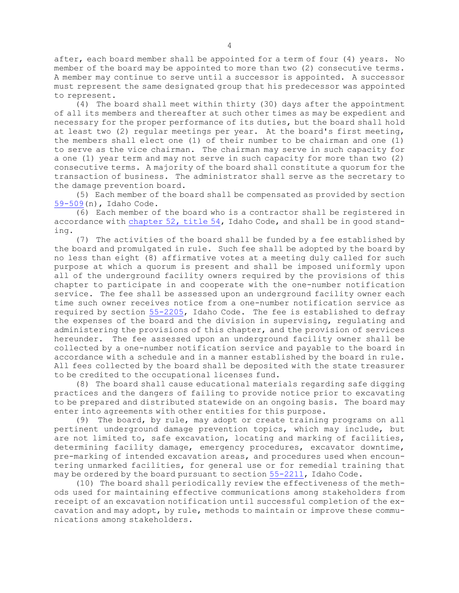after, each board member shall be appointed for <sup>a</sup> term of four (4) years. No member of the board may be appointed to more than two (2) consecutive terms. <sup>A</sup> member may continue to serve until <sup>a</sup> successor is appointed. <sup>A</sup> successor must represent the same designated group that his predecessor was appointed to represent.

(4) The board shall meet within thirty (30) days after the appointment of all its members and thereafter at such other times as may be expedient and necessary for the proper performance of its duties, but the board shall hold at least two (2) regular meetings per year. At the board's first meeting, the members shall elect one (1) of their number to be chairman and one (1) to serve as the vice chairman. The chairman may serve in such capacity for <sup>a</sup> one (1) year term and may not serve in such capacity for more than two (2) consecutive terms. <sup>A</sup> majority of the board shall constitute <sup>a</sup> quorum for the transaction of business. The administrator shall serve as the secretary to the damage prevention board.

(5) Each member of the board shall be compensated as provided by section [59-509](/statutesrules/idstat/Title59/T59CH5/SECT59-509)(n), Idaho Code.

(6) Each member of the board who is <sup>a</sup> contractor shall be registered in accordance with [chapter](/statutesrules/idstat/Title54/T54CH52) 52, title 54, Idaho Code, and shall be in good standing.

(7) The activities of the board shall be funded by <sup>a</sup> fee established by the board and promulgated in rule. Such fee shall be adopted by the board by no less than eight (8) affirmative votes at <sup>a</sup> meeting duly called for such purpose at which <sup>a</sup> quorum is present and shall be imposed uniformly upon all of the underground facility owners required by the provisions of this chapter to participate in and cooperate with the one-number notification service. The fee shall be assessed upon an underground facility owner each time such owner receives notice from <sup>a</sup> one-number notification service as required by section [55-2205](/statutesrules/idstat/Title55/T55CH22/SECT55-2205), Idaho Code. The fee is established to defray the expenses of the board and the division in supervising, regulating and administering the provisions of this chapter, and the provision of services hereunder. The fee assessed upon an underground facility owner shall be collected by <sup>a</sup> one-number notification service and payable to the board in accordance with <sup>a</sup> schedule and in <sup>a</sup> manner established by the board in rule. All fees collected by the board shall be deposited with the state treasurer to be credited to the occupational licenses fund.

(8) The board shall cause educational materials regarding safe digging practices and the dangers of failing to provide notice prior to excavating to be prepared and distributed statewide on an ongoing basis. The board may enter into agreements with other entities for this purpose.

(9) The board, by rule, may adopt or create training programs on all pertinent underground damage prevention topics, which may include, but are not limited to, safe excavation, locating and marking of facilities, determining facility damage, emergency procedures, excavator downtime, pre-marking of intended excavation areas, and procedures used when encountering unmarked facilities, for general use or for remedial training that may be ordered by the board pursuant to section [55-2211](/statutesrules/idstat/Title55/T55CH22/SECT55-2211), Idaho Code.

(10) The board shall periodically review the effectiveness of the methods used for maintaining effective communications among stakeholders from receipt of an excavation notification until successful completion of the excavation and may adopt, by rule, methods to maintain or improve these communications among stakeholders.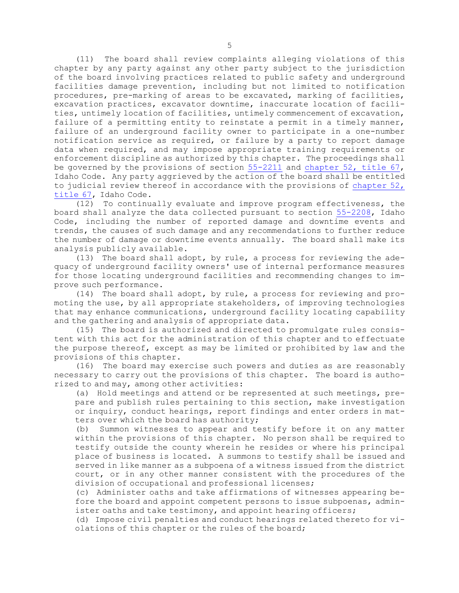(11) The board shall review complaints alleging violations of this chapter by any party against any other party subject to the jurisdiction of the board involving practices related to public safety and underground facilities damage prevention, including but not limited to notification procedures, pre-marking of areas to be excavated, marking of facilities, excavation practices, excavator downtime, inaccurate location of facilities, untimely location of facilities, untimely commencement of excavation, failure of <sup>a</sup> permitting entity to reinstate <sup>a</sup> permit in <sup>a</sup> timely manner, failure of an underground facility owner to participate in <sup>a</sup> one-number notification service as required, or failure by <sup>a</sup> party to report damage data when required, and may impose appropriate training requirements or enforcement discipline as authorized by this chapter. The proceedings shall be governed by the provisions of section  $55-2211$  and [chapter](/statutesrules/idstat/Title67/T67CH52)  $52$ , title  $67$ , Idaho Code. Any party aggrieved by the action of the board shall be entitled to judicial review thereof in accordance with the provisions of [chapter](/statutesrules/idstat/Title67/T67CH52) 52, [title](/statutesrules/idstat/Title67/T67CH52) 67, Idaho Code.

(12) To continually evaluate and improve program effectiveness, the board shall analyze the data collected pursuant to section [55-2208](/statutesrules/idstat/Title55/T55CH22/SECT55-2208), Idaho Code, including the number of reported damage and downtime events and trends, the causes of such damage and any recommendations to further reduce the number of damage or downtime events annually. The board shall make its analysis publicly available.

(13) The board shall adopt, by rule, <sup>a</sup> process for reviewing the adequacy of underground facility owners' use of internal performance measures for those locating underground facilities and recommending changes to improve such performance.

(14) The board shall adopt, by rule, <sup>a</sup> process for reviewing and promoting the use, by all appropriate stakeholders, of improving technologies that may enhance communications, underground facility locating capability and the gathering and analysis of appropriate data.

(15) The board is authorized and directed to promulgate rules consistent with this act for the administration of this chapter and to effectuate the purpose thereof, except as may be limited or prohibited by law and the provisions of this chapter.

(16) The board may exercise such powers and duties as are reasonably necessary to carry out the provisions of this chapter. The board is authorized to and may, among other activities:

(a) Hold meetings and attend or be represented at such meetings, prepare and publish rules pertaining to this section, make investigation or inquiry, conduct hearings, report findings and enter orders in matters over which the board has authority;

(b) Summon witnesses to appear and testify before it on any matter within the provisions of this chapter. No person shall be required to testify outside the county wherein he resides or where his principal place of business is located. <sup>A</sup> summons to testify shall be issued and served in like manner as <sup>a</sup> subpoena of <sup>a</sup> witness issued from the district court, or in any other manner consistent with the procedures of the division of occupational and professional licenses;

(c) Administer oaths and take affirmations of witnesses appearing before the board and appoint competent persons to issue subpoenas, administer oaths and take testimony, and appoint hearing officers;

(d) Impose civil penalties and conduct hearings related thereto for violations of this chapter or the rules of the board;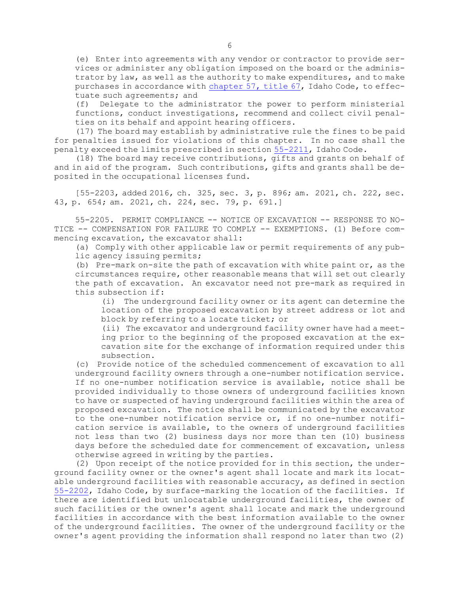(e) Enter into agreements with any vendor or contractor to provide services or administer any obligation imposed on the board or the administrator by law, as well as the authority to make expenditures, and to make purchases in accordance with [chapter](/statutesrules/idstat/Title67/T67CH57) 57, title 67, Idaho Code, to effectuate such agreements; and

(f) Delegate to the administrator the power to perform ministerial functions, conduct investigations, recommend and collect civil penalties on its behalf and appoint hearing officers.

(17) The board may establish by administrative rule the fines to be paid for penalties issued for violations of this chapter. In no case shall the penalty exceed the limits prescribed in section [55-2211](/statutesrules/idstat/Title55/T55CH22/SECT55-2211), Idaho Code.

(18) The board may receive contributions, gifts and grants on behalf of and in aid of the program. Such contributions, gifts and grants shall be deposited in the occupational licenses fund.

[55-2203, added 2016, ch. 325, sec. 3, p. 896; am. 2021, ch. 222, sec. 43, p. 654; am. 2021, ch. 224, sec. 79, p. 691.]

55-2205. PERMIT COMPLIANCE -- NOTICE OF EXCAVATION -- RESPONSE TO NO-TICE -- COMPENSATION FOR FAILURE TO COMPLY -- EXEMPTIONS. (1) Before commencing excavation, the excavator shall:

(a) Comply with other applicable law or permit requirements of any public agency issuing permits;

(b) Pre-mark on-site the path of excavation with white paint or, as the circumstances require, other reasonable means that will set out clearly the path of excavation. An excavator need not pre-mark as required in this subsection if:

(i) The underground facility owner or its agent can determine the location of the proposed excavation by street address or lot and block by referring to <sup>a</sup> locate ticket; or

(ii) The excavator and underground facility owner have had <sup>a</sup> meeting prior to the beginning of the proposed excavation at the excavation site for the exchange of information required under this subsection.

(c) Provide notice of the scheduled commencement of excavation to all underground facility owners through <sup>a</sup> one-number notification service. If no one-number notification service is available, notice shall be provided individually to those owners of underground facilities known to have or suspected of having underground facilities within the area of proposed excavation. The notice shall be communicated by the excavator to the one-number notification service or, if no one-number notification service is available, to the owners of underground facilities not less than two (2) business days nor more than ten (10) business days before the scheduled date for commencement of excavation, unless otherwise agreed in writing by the parties.

(2) Upon receipt of the notice provided for in this section, the underground facility owner or the owner's agent shall locate and mark its locatable underground facilities with reasonable accuracy, as defined in section [55-2202](/statutesrules/idstat/Title55/T55CH22/SECT55-2202), Idaho Code, by surface-marking the location of the facilities. If there are identified but unlocatable underground facilities, the owner of such facilities or the owner's agent shall locate and mark the underground facilities in accordance with the best information available to the owner of the underground facilities. The owner of the underground facility or the owner's agent providing the information shall respond no later than two (2)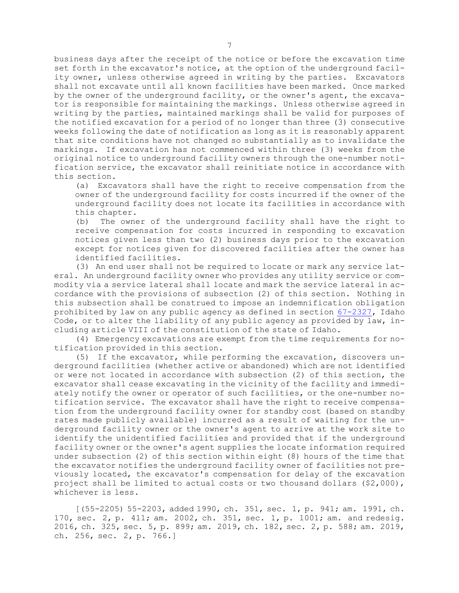business days after the receipt of the notice or before the excavation time set forth in the excavator's notice, at the option of the underground facility owner, unless otherwise agreed in writing by the parties. Excavators shall not excavate until all known facilities have been marked. Once marked by the owner of the underground facility, or the owner's agent, the excavator is responsible for maintaining the markings. Unless otherwise agreed in writing by the parties, maintained markings shall be valid for purposes of the notified excavation for <sup>a</sup> period of no longer than three (3) consecutive weeks following the date of notification as long as it is reasonably apparent that site conditions have not changed so substantially as to invalidate the markings. If excavation has not commenced within three (3) weeks from the original notice to underground facility owners through the one-number notification service, the excavator shall reinitiate notice in accordance with this section.

(a) Excavators shall have the right to receive compensation from the owner of the underground facility for costs incurred if the owner of the underground facility does not locate its facilities in accordance with this chapter.

(b) The owner of the underground facility shall have the right to receive compensation for costs incurred in responding to excavation notices given less than two (2) business days prior to the excavation except for notices given for discovered facilities after the owner has identified facilities.

(3) An end user shall not be required to locate or mark any service lateral. An underground facility owner who provides any utility service or commodity via <sup>a</sup> service lateral shall locate and mark the service lateral in accordance with the provisions of subsection (2) of this section. Nothing in this subsection shall be construed to impose an indemnification obligation prohibited by law on any public agency as defined in section [67-2327](/statutesrules/idstat/Title67/T67CH23/SECT67-2327), Idaho Code, or to alter the liability of any public agency as provided by law, including article VIII of the constitution of the state of Idaho.

(4) Emergency excavations are exempt from the time requirements for notification provided in this section.

(5) If the excavator, while performing the excavation, discovers underground facilities (whether active or abandoned) which are not identified or were not located in accordance with subsection (2) of this section, the excavator shall cease excavating in the vicinity of the facility and immediately notify the owner or operator of such facilities, or the one-number notification service. The excavator shall have the right to receive compensation from the underground facility owner for standby cost (based on standby rates made publicly available) incurred as <sup>a</sup> result of waiting for the underground facility owner or the owner's agent to arrive at the work site to identify the unidentified facilities and provided that if the underground facility owner or the owner's agent supplies the locate information required under subsection (2) of this section within eight (8) hours of the time that the excavator notifies the underground facility owner of facilities not previously located, the excavator's compensation for delay of the excavation project shall be limited to actual costs or two thousand dollars (\$2,000), whichever is less.

[(55-2205) 55-2203, added 1990, ch. 351, sec. 1, p. 941; am. 1991, ch. 170, sec. 2, p. 411; am. 2002, ch. 351, sec. 1, p. 1001; am. and redesig. 2016, ch. 325, sec. 5, p. 899; am. 2019, ch. 182, sec. 2, p. 588; am. 2019, ch. 256, sec. 2, p. 766.]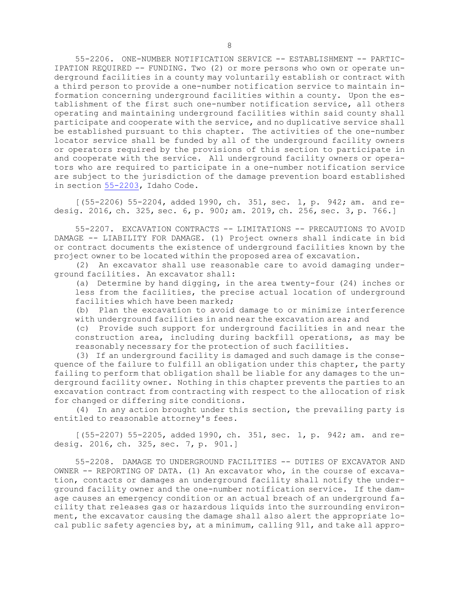55-2206. ONE-NUMBER NOTIFICATION SERVICE -- ESTABLISHMENT -- PARTIC-IPATION REQUIRED -- FUNDING. Two (2) or more persons who own or operate underground facilities in <sup>a</sup> county may voluntarily establish or contract with <sup>a</sup> third person to provide <sup>a</sup> one-number notification service to maintain information concerning underground facilities within <sup>a</sup> county. Upon the establishment of the first such one-number notification service, all others operating and maintaining underground facilities within said county shall participate and cooperate with the service, and no duplicative service shall be established pursuant to this chapter. The activities of the one-number locator service shall be funded by all of the underground facility owners or operators required by the provisions of this section to participate in and cooperate with the service. All underground facility owners or operators who are required to participate in <sup>a</sup> one-number notification service are subject to the jurisdiction of the damage prevention board established in section [55-2203](/statutesrules/idstat/Title55/T55CH22/SECT55-2203), Idaho Code.

[(55-2206) 55-2204, added 1990, ch. 351, sec. 1, p. 942; am. and redesig. 2016, ch. 325, sec. 6, p. 900; am. 2019, ch. 256, sec. 3, p. 766.]

55-2207. EXCAVATION CONTRACTS -- LIMITATIONS -- PRECAUTIONS TO AVOID DAMAGE -- LIABILITY FOR DAMAGE. (1) Project owners shall indicate in bid or contract documents the existence of underground facilities known by the project owner to be located within the proposed area of excavation.

(2) An excavator shall use reasonable care to avoid damaging underground facilities. An excavator shall:

(a) Determine by hand digging, in the area twenty-four (24) inches or less from the facilities, the precise actual location of underground facilities which have been marked;

(b) Plan the excavation to avoid damage to or minimize interference with underground facilities in and near the excavation area; and

(c) Provide such support for underground facilities in and near the construction area, including during backfill operations, as may be reasonably necessary for the protection of such facilities.

(3) If an underground facility is damaged and such damage is the consequence of the failure to fulfill an obligation under this chapter, the party failing to perform that obligation shall be liable for any damages to the underground facility owner. Nothing in this chapter prevents the parties to an excavation contract from contracting with respect to the allocation of risk for changed or differing site conditions.

(4) In any action brought under this section, the prevailing party is entitled to reasonable attorney's fees.

[(55-2207) 55-2205, added 1990, ch. 351, sec. 1, p. 942; am. and redesig. 2016, ch. 325, sec. 7, p. 901.]

55-2208. DAMAGE TO UNDERGROUND FACILITIES -- DUTIES OF EXCAVATOR AND OWNER -- REPORTING OF DATA. (1) An excavator who, in the course of excavation, contacts or damages an underground facility shall notify the underground facility owner and the one-number notification service. If the damage causes an emergency condition or an actual breach of an underground facility that releases gas or hazardous liquids into the surrounding environment, the excavator causing the damage shall also alert the appropriate local public safety agencies by, at <sup>a</sup> minimum, calling 911, and take all appro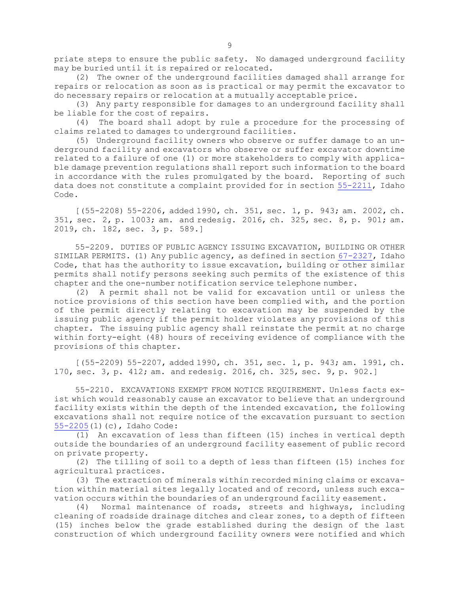priate steps to ensure the public safety. No damaged underground facility may be buried until it is repaired or relocated.

(2) The owner of the underground facilities damaged shall arrange for repairs or relocation as soon as is practical or may permit the excavator to do necessary repairs or relocation at <sup>a</sup> mutually acceptable price.

(3) Any party responsible for damages to an underground facility shall be liable for the cost of repairs.

(4) The board shall adopt by rule <sup>a</sup> procedure for the processing of claims related to damages to underground facilities.

(5) Underground facility owners who observe or suffer damage to an underground facility and excavators who observe or suffer excavator downtime related to <sup>a</sup> failure of one (1) or more stakeholders to comply with applicable damage prevention regulations shall report such information to the board in accordance with the rules promulgated by the board. Reporting of such data does not constitute <sup>a</sup> complaint provided for in section [55-2211](/statutesrules/idstat/Title55/T55CH22/SECT55-2211), Idaho Code.

[(55-2208) 55-2206, added 1990, ch. 351, sec. 1, p. 943; am. 2002, ch. 351, sec. 2, p. 1003; am. and redesig. 2016, ch. 325, sec. 8, p. 901; am. 2019, ch. 182, sec. 3, p. 589.]

55-2209. DUTIES OF PUBLIC AGENCY ISSUING EXCAVATION, BUILDING OR OTHER SIMILAR PERMITS. (1) Any public agency, as defined in section [67-2327](https://legislature.idaho.gov/statutesrules/idstat/Title67/T67CH23/SECT67-2327), Idaho Code, that has the authority to issue excavation, building or other similar permits shall notify persons seeking such permits of the existence of this chapter and the one-number notification service telephone number.

(2) <sup>A</sup> permit shall not be valid for excavation until or unless the notice provisions of this section have been complied with, and the portion of the permit directly relating to excavation may be suspended by the issuing public agency if the permit holder violates any provisions of this chapter. The issuing public agency shall reinstate the permit at no charge within forty-eight (48) hours of receiving evidence of compliance with the provisions of this chapter.

[(55-2209) 55-2207, added 1990, ch. 351, sec. 1, p. 943; am. 1991, ch. 170, sec. 3, p. 412; am. and redesig. 2016, ch. 325, sec. 9, p. 902.]

55-2210. EXCAVATIONS EXEMPT FROM NOTICE REQUIREMENT. Unless facts exist which would reasonably cause an excavator to believe that an underground facility exists within the depth of the intended excavation, the following excavations shall not require notice of the excavation pursuant to section [55-2205](https://legislature.idaho.gov/statutesrules/idstat/Title55/T55CH22/SECT55-2205)(1)(c), Idaho Code:

(1) An excavation of less than fifteen (15) inches in vertical depth outside the boundaries of an underground facility easement of public record on private property.

(2) The tilling of soil to <sup>a</sup> depth of less than fifteen (15) inches for agricultural practices.

(3) The extraction of minerals within recorded mining claims or excavation within material sites legally located and of record, unless such excavation occurs within the boundaries of an underground facility easement.

(4) Normal maintenance of roads, streets and highways, including cleaning of roadside drainage ditches and clear zones, to <sup>a</sup> depth of fifteen (15) inches below the grade established during the design of the last construction of which underground facility owners were notified and which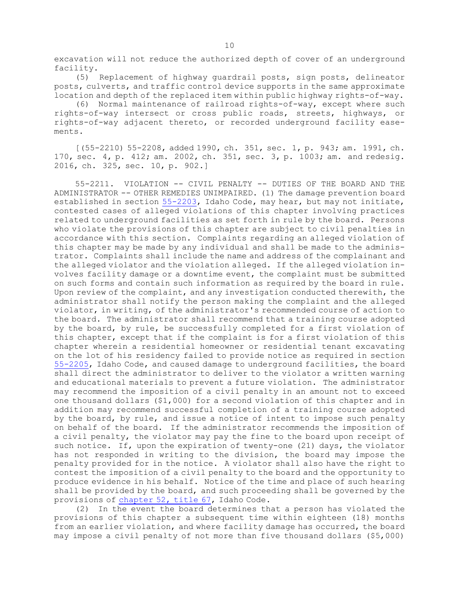excavation will not reduce the authorized depth of cover of an underground facility.

(5) Replacement of highway guardrail posts, sign posts, delineator posts, culverts, and traffic control device supports in the same approximate location and depth of the replaced item within public highway rights-of-way.

(6) Normal maintenance of railroad rights-of-way, except where such rights-of-way intersect or cross public roads, streets, highways, or rights-of-way adjacent thereto, or recorded underground facility easements.

[(55-2210) 55-2208, added 1990, ch. 351, sec. 1, p. 943; am. 1991, ch. 170, sec. 4, p. 412; am. 2002, ch. 351, sec. 3, p. 1003; am. and redesig. 2016, ch. 325, sec. 10, p. 902.]

55-2211. VIOLATION -- CIVIL PENALTY -- DUTIES OF THE BOARD AND THE ADMINISTRATOR -- OTHER REMEDIES UNIMPAIRED. (1) The damage prevention board established in section [55-2203](/statutesrules/idstat/Title55/T55CH22/SECT55-2203), Idaho Code, may hear, but may not initiate, contested cases of alleged violations of this chapter involving practices related to underground facilities as set forth in rule by the board. Persons who violate the provisions of this chapter are subject to civil penalties in accordance with this section. Complaints regarding an alleged violation of this chapter may be made by any individual and shall be made to the administrator. Complaints shall include the name and address of the complainant and the alleged violator and the violation alleged. If the alleged violation involves facility damage or <sup>a</sup> downtime event, the complaint must be submitted on such forms and contain such information as required by the board in rule. Upon review of the complaint, and any investigation conducted therewith, the administrator shall notify the person making the complaint and the alleged violator, in writing, of the administrator's recommended course of action to the board. The administrator shall recommend that <sup>a</sup> training course adopted by the board, by rule, be successfully completed for <sup>a</sup> first violation of this chapter, except that if the complaint is for <sup>a</sup> first violation of this chapter wherein <sup>a</sup> residential homeowner or residential tenant excavating on the lot of his residency failed to provide notice as required in section [55-2205](/statutesrules/idstat/Title55/T55CH22/SECT55-2205), Idaho Code, and caused damage to underground facilities, the board shall direct the administrator to deliver to the violator <sup>a</sup> written warning and educational materials to prevent <sup>a</sup> future violation. The administrator may recommend the imposition of <sup>a</sup> civil penalty in an amount not to exceed one thousand dollars (\$1,000) for <sup>a</sup> second violation of this chapter and in addition may recommend successful completion of <sup>a</sup> training course adopted by the board, by rule, and issue <sup>a</sup> notice of intent to impose such penalty on behalf of the board. If the administrator recommends the imposition of <sup>a</sup> civil penalty, the violator may pay the fine to the board upon receipt of such notice. If, upon the expiration of twenty-one (21) days, the violator has not responded in writing to the division, the board may impose the penalty provided for in the notice. <sup>A</sup> violator shall also have the right to contest the imposition of <sup>a</sup> civil penalty to the board and the opportunity to produce evidence in his behalf. Notice of the time and place of such hearing shall be provided by the board, and such proceeding shall be governed by the provisions of [chapter](/statutesrules/idstat/Title67/T67CH52) 52, title 67, Idaho Code.

(2) In the event the board determines that <sup>a</sup> person has violated the provisions of this chapter <sup>a</sup> subsequent time within eighteen (18) months from an earlier violation, and where facility damage has occurred, the board may impose <sup>a</sup> civil penalty of not more than five thousand dollars (\$5,000)